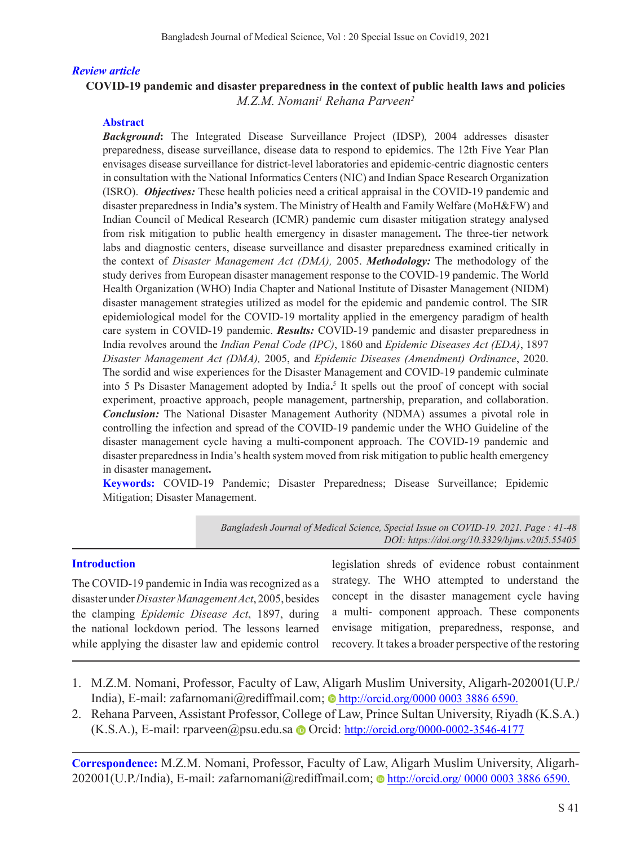## *Review article*

# **COVID-19 pandemic and disaster preparedness in the context of public health laws and policies**  *M.Z.M. Nomani1 Rehana Parveen2*

## **Abstract**

*Background***:** The Integrated Disease Surveillance Project (IDSP)*,* 2004 addresses disaster preparedness, disease surveillance, disease data to respond to epidemics. The 12th Five Year Plan envisages disease surveillance for district-level laboratories and epidemic-centric diagnostic centers in consultation with the National Informatics Centers (NIC) and Indian Space Research Organization (ISRO). *Objectives:* These health policies need a critical appraisal in the COVID-19 pandemic and disaster preparedness in India**'s** system. The Ministry of Health and Family Welfare (MoH&FW) and Indian Council of Medical Research (ICMR) pandemic cum disaster mitigation strategy analysed from risk mitigation to public health emergency in disaster management**.** The three-tier network labs and diagnostic centers, disease surveillance and disaster preparedness examined critically in the context of *Disaster Management Act (DMA),* 2005. *Methodology:* The methodology of the study derives from European disaster management response to the COVID-19 pandemic. The World Health Organization (WHO) India Chapter and National Institute of Disaster Management (NIDM) disaster management strategies utilized as model for the epidemic and pandemic control. The SIR epidemiological model for the COVID-19 mortality applied in the emergency paradigm of health care system in COVID-19 pandemic. *Results:* COVID-19 pandemic and disaster preparedness in India revolves around the *Indian Penal Code (IPC)*, 1860 and *Epidemic Diseases Act (EDA)*, 1897 *Disaster Management Act (DMA),* 2005, and *Epidemic Diseases (Amendment) Ordinance*, 2020. The sordid and wise experiences for the Disaster Management and COVID-19 pandemic culminate into 5 Ps Disaster Management adopted by India.<sup>5</sup> It spells out the proof of concept with social experiment, proactive approach, people management, partnership, preparation, and collaboration. *Conclusion:* The National Disaster Management Authority (NDMA) assumes a pivotal role in controlling the infection and spread of the COVID-19 pandemic under the WHO Guideline of the disaster management cycle having a multi-component approach. The COVID-19 pandemic and disaster preparedness in India's health system moved from risk mitigation to public health emergency in disaster management**.**

**Keywords:** COVID-19 Pandemic; Disaster Preparedness; Disease Surveillance; Epidemic Mitigation; Disaster Management.

> *Bangladesh Journal of Medical Science, Special Issue on COVID-19. 2021. Page : 41-48 DOI: https://doi.org/10.3329/bjms.v20i5.55405*

### **Introduction**

The COVID-19 pandemic in India was recognized as a disaster under *Disaster Management Act*, 2005, besides the clamping *Epidemic Disease Act*, 1897, during the national lockdown period. The lessons learned while applying the disaster law and epidemic control legislation shreds of evidence robust containment strategy. The WHO attempted to understand the concept in the disaster management cycle having a multi- component approach. These components envisage mitigation, preparedness, response, and recovery. It takes a broader perspective of the restoring

- 1. M.Z.M. Nomani, Professor, Faculty of Law, Aligarh Muslim University, Aligarh-202001(U.P./ India), E-mail: zafarnomani@rediffmail.com; **http://orcid.org/0000 0003 3886 6590.**
- 2. Rehana Parveen, Assistant Professor, College of Law, Prince Sultan University, Riyadh (K.S.A.) (K.S.A.), E-mail: rparveen@psu.edu.sa  $\bullet$  Orcid: http://orcid.org/0000-0002-3546-4177

**Correspondence:** M.Z.M. Nomani, Professor, Faculty of Law, Aligarh Muslim University, Aligarh-202001(U.P./India), E-mail: zafarnomani@rediffmail.com; http://orcid.org/ 0000 0003 3886 6590.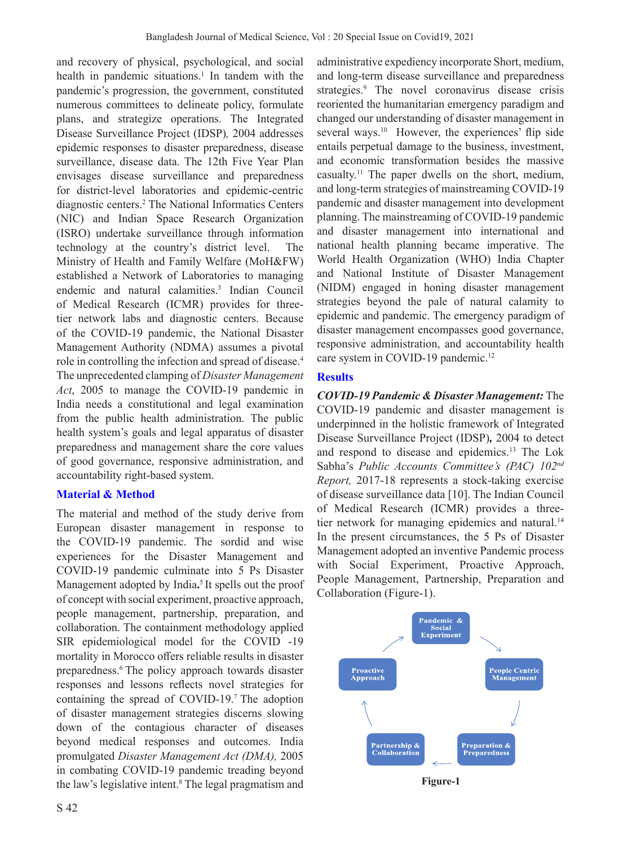and recovery of physical, psychological, and social health in pandemic situations.<sup>1</sup> In tandem with the pandemic's progression, the government, constituted numerous committees to delineate policy, formulate plans, and strategize operations. The Integrated Disease Surveillance Project (IDSP)*,* 2004 addresses epidemic responses to disaster preparedness, disease surveillance, disease data. The 12th Five Year Plan envisages disease surveillance and preparedness for district-level laboratories and epidemic-centric diagnostic centers.2 The National Informatics Centers (NIC) and Indian Space Research Organization (ISRO) undertake surveillance through information technology at the country's district level. The Ministry of Health and Family Welfare (MoH&FW) established a Network of Laboratories to managing endemic and natural calamities.3 Indian Council of Medical Research (ICMR) provides for threetier network labs and diagnostic centers. Because of the COVID-19 pandemic, the National Disaster Management Authority (NDMA) assumes a pivotal role in controlling the infection and spread of disease.4 The unprecedented clamping of *Disaster Management Act*, 2005 to manage the COVID-19 pandemic in India needs a constitutional and legal examination from the public health administration. The public health system's goals and legal apparatus of disaster preparedness and management share the core values of good governance, responsive administration, and accountability right-based system.

# **Material & Method**

The material and method of the study derive from European disaster management in response to the COVID-19 pandemic. The sordid and wise experiences for the Disaster Management and COVID-19 pandemic culminate into 5 Ps Disaster Management adopted by India**.** 5 It spells out the proof of concept with social experiment, proactive approach, people management, partnership, preparation, and collaboration. The containment methodology applied SIR epidemiological model for the COVID -19 mortality in Morocco offers reliable results in disaster preparedness.6 The policy approach towards disaster responses and lessons reflects novel strategies for containing the spread of COVID-19.7 The adoption of disaster management strategies discerns slowing down of the contagious character of diseases beyond medical responses and outcomes. India promulgated *Disaster Management Act (DMA),* 2005 in combating COVID-19 pandemic treading beyond the law's legislative intent.8 The legal pragmatism and administrative expediency incorporate Short, medium, and long-term disease surveillance and preparedness strategies.<sup>9</sup> The novel coronavirus disease crisis reoriented the humanitarian emergency paradigm and changed our understanding of disaster management in several ways.<sup>10</sup> However, the experiences' flip side entails perpetual damage to the business, investment, and economic transformation besides the massive casualty.11 The paper dwells on the short, medium, and long-term strategies of mainstreaming COVID-19 pandemic and disaster management into development planning. The mainstreaming of COVID-19 pandemic and disaster management into international and national health planning became imperative. The World Health Organization (WHO) India Chapter and National Institute of Disaster Management (NIDM) engaged in honing disaster management strategies beyond the pale of natural calamity to epidemic and pandemic. The emergency paradigm of disaster management encompasses good governance, responsive administration, and accountability health care system in COVID-19 pandemic.<sup>12</sup>

## **Results**

*COVID-19 Pandemic & Disaster Management:* The COVID-19 pandemic and disaster management is underpinned in the holistic framework of Integrated Disease Surveillance Project (IDSP)*,* 2004 to detect and respond to disease and epidemics.13 The Lok Sabha's *Public Accounts Committee's (PAC) 102nd Report,* 2017-18 represents a stock-taking exercise of disease surveillance data [10]. The Indian Council of Medical Research (ICMR) provides a threetier network for managing epidemics and natural.<sup>14</sup> In the present circumstances, the 5 Ps of Disaster Management adopted an inventive Pandemic process with Social Experiment, Proactive Approach, People Management, Partnership, Preparation and Collaboration (Figure-1).



**Figure-1**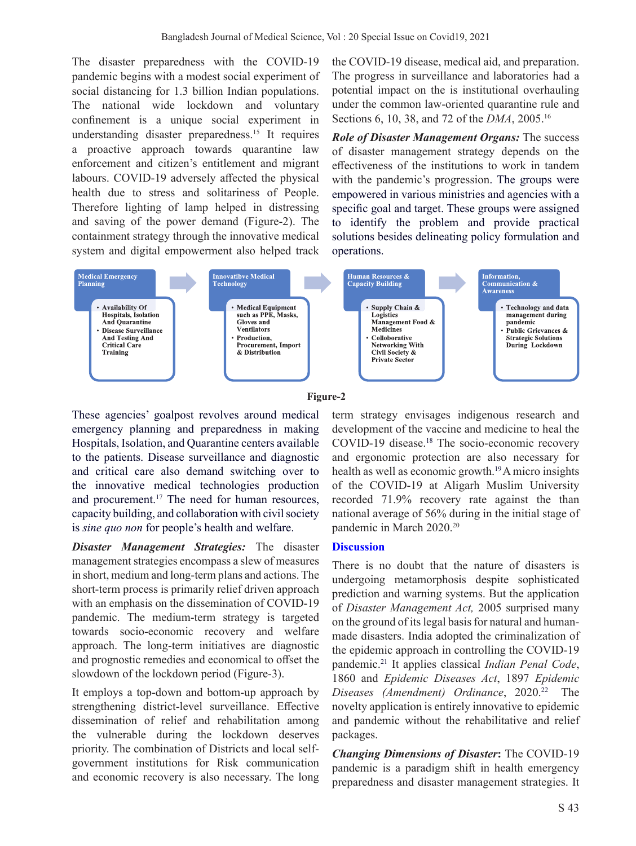The disaster preparedness with the COVID-19 pandemic begins with a modest social experiment of social distancing for 1.3 billion Indian populations. The national wide lockdown and voluntary confinement is a unique social experiment in understanding disaster preparedness.15 It requires a proactive approach towards quarantine law enforcement and citizen's entitlement and migrant labours. COVID-19 adversely affected the physical health due to stress and solitariness of People. Therefore lighting of lamp helped in distressing and saving of the power demand (Figure-2). The containment strategy through the innovative medical system and digital empowerment also helped track the COVID-19 disease, medical aid, and preparation. The progress in surveillance and laboratories had a potential impact on the is institutional overhauling under the common law-oriented quarantine rule and Sections 6, 10, 38, and 72 of the *DMA*, 2005.16

*Role of Disaster Management Organs:* The success of disaster management strategy depends on the effectiveness of the institutions to work in tandem with the pandemic's progression. The groups were empowered in various ministries and agencies with a specific goal and target. These groups were assigned to identify the problem and provide practical solutions besides delineating policy formulation and operations.



#### **Figure-2**

These agencies' goalpost revolves around medical emergency planning and preparedness in making Hospitals, Isolation, and Quarantine centers available to the patients. Disease surveillance and diagnostic and critical care also demand switching over to the innovative medical technologies production and procurement.<sup>17</sup> The need for human resources, capacity building, and collaboration with civil society is *sine quo non* for people's health and welfare.

*Disaster Management Strategies:* The disaster management strategies encompass a slew of measures in short, medium and long-term plans and actions. The short-term process is primarily relief driven approach with an emphasis on the dissemination of COVID-19 pandemic. The medium-term strategy is targeted towards socio-economic recovery and welfare approach. The long-term initiatives are diagnostic and prognostic remedies and economical to offset the slowdown of the lockdown period (Figure-3).

It employs a top-down and bottom-up approach by strengthening district-level surveillance. Effective dissemination of relief and rehabilitation among the vulnerable during the lockdown deserves priority. The combination of Districts and local selfgovernment institutions for Risk communication and economic recovery is also necessary. The long term strategy envisages indigenous research and development of the vaccine and medicine to heal the COVID-19 disease.<sup>18</sup> The socio-economic recovery and ergonomic protection are also necessary for health as well as economic growth.<sup>19</sup> A micro insights of the COVID-19 at Aligarh Muslim University recorded 71.9% recovery rate against the than national average of 56% during in the initial stage of pandemic in March 2020.<sup>20</sup>

## **Discussion**

There is no doubt that the nature of disasters is undergoing metamorphosis despite sophisticated prediction and warning systems. But the application of *Disaster Management Act,* 2005 surprised many on the ground of its legal basis for natural and humanmade disasters. India adopted the criminalization of the epidemic approach in controlling the COVID-19 pandemic.21 It applies classical *Indian Penal Code*, 1860 and *Epidemic Diseases Act*, 1897 *Epidemic Diseases (Amendment) Ordinance*, 2020.22 The novelty application is entirely innovative to epidemic and pandemic without the rehabilitative and relief packages.

*Changing Dimensions of Disaster***:** The COVID-19 pandemic is a paradigm shift in health emergency preparedness and disaster management strategies. It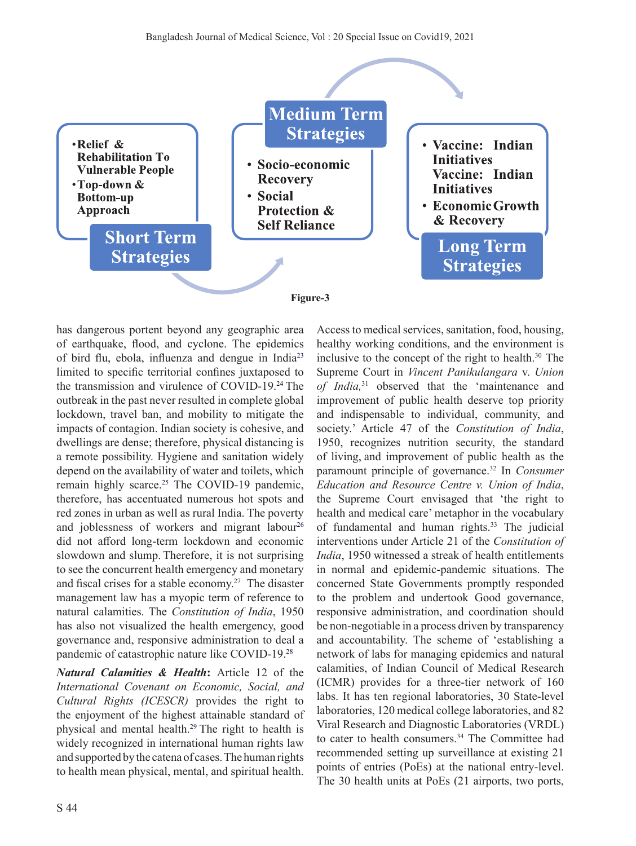

has dangerous portent beyond any geographic area of earthquake, flood, and cyclone. The epidemics of bird flu, ebola, influenza and dengue in India<sup>23</sup> limited to specific territorial confines juxtaposed to the transmission and virulence of COVID-19.24 The outbreak in the past never resulted in complete global lockdown, travel ban, and mobility to mitigate the impacts of contagion. Indian society is cohesive, and dwellings are dense; therefore, physical distancing is a remote possibility. Hygiene and sanitation widely depend on the availability of water and toilets, which remain highly scarce.<sup>25</sup> The COVID-19 pandemic, therefore, has accentuated numerous hot spots and red zones in urban as well as rural India. The poverty and joblessness of workers and migrant labour<sup>26</sup> did not afford long-term lockdown and economic slowdown and slump. Therefore, it is not surprising to see the concurrent health emergency and monetary and fiscal crises for a stable economy.27 The disaster management law has a myopic term of reference to natural calamities. The *Constitution of India*, 1950 has also not visualized the health emergency, good governance and, responsive administration to deal a pandemic of catastrophic nature like COVID-19.28

*Natural Calamities & Health***:** Article 12 of the *International Covenant on Economic, Social, and Cultural Rights (ICESCR)* provides the right to the enjoyment of the highest attainable standard of physical and mental health.29 The right to health is widely recognized in international human rights law and supported by the catena of cases. The human rights to health mean physical, mental, and spiritual health.

inclusive to the concept of the right to health.<sup>30</sup> The Supreme Court in *Vincent Panikulangara* v. *Union of India,*31 observed that the 'maintenance and improvement of public health deserve top priority and indispensable to individual, community, and society.' Article 47 of the *Constitution of India*, 1950, recognizes nutrition security, the standard of living, and improvement of public health as the paramount principle of governance.<sup>32</sup> In *Consumer Education and Resource Centre v. Union of India*, the Supreme Court envisaged that 'the right to health and medical care' metaphor in the vocabulary of fundamental and human rights.<sup>33</sup> The judicial interventions under Article 21 of the *Constitution of India*, 1950 witnessed a streak of health entitlements in normal and epidemic-pandemic situations. The concerned State Governments promptly responded to the problem and undertook Good governance, responsive administration, and coordination should be non-negotiable in a process driven by transparency and accountability. The scheme of 'establishing a network of labs for managing epidemics and natural calamities, of Indian Council of Medical Research (ICMR) provides for a three-tier network of 160 labs. It has ten regional laboratories, 30 State-level laboratories, 120 medical college laboratories, and 82 Viral Research and Diagnostic Laboratories (VRDL) to cater to health consumers.<sup>34</sup> The Committee had recommended setting up surveillance at existing 21 points of entries (PoEs) at the national entry-level. The 30 health units at PoEs (21 airports, two ports,

Access to medical services, sanitation, food, housing, healthy working conditions, and the environment is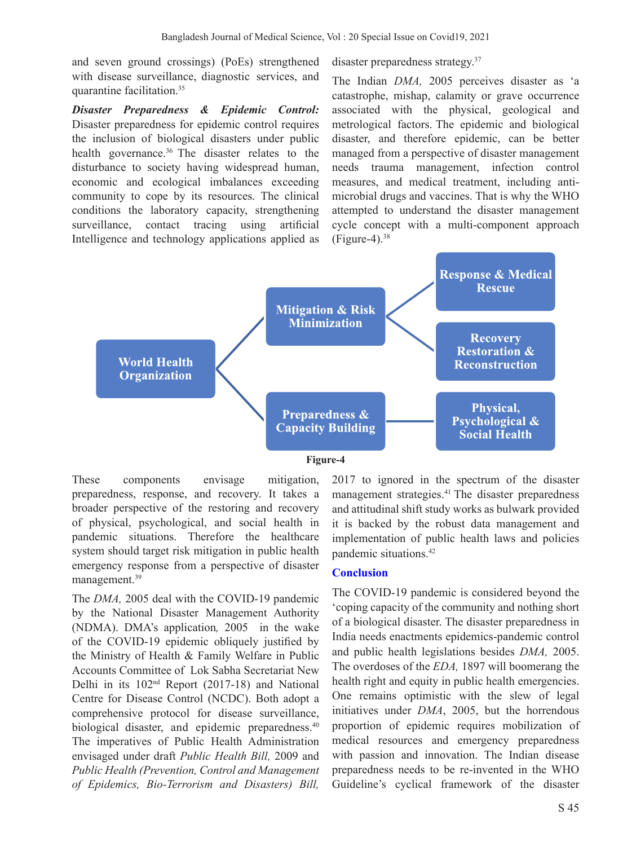and seven ground crossings) (PoEs) strengthened with disease surveillance, diagnostic services, and quarantine facilitation.35

*Disaster Preparedness & Epidemic Control:* Disaster preparedness for epidemic control requires the inclusion of biological disasters under public health governance.<sup>36</sup> The disaster relates to the disturbance to society having widespread human, economic and ecological imbalances exceeding community to cope by its resources. The clinical conditions the laboratory capacity, strengthening surveillance, contact tracing using artificial Intelligence and technology applications applied as

disaster preparedness strategy.37

The Indian *DMA,* 2005 perceives disaster as 'a catastrophe, mishap, calamity or grave occurrence associated with the physical, geological and metrological factors. The epidemic and biological disaster, and therefore epidemic, can be better managed from a perspective of disaster management needs trauma management, infection control measures, and medical treatment, including antimicrobial drugs and vaccines. That is why the WHO attempted to understand the disaster management cycle concept with a multi-component approach  $(Figure-4).$ <sup>38</sup>



#### **Figure-4**

These components envisage mitigation, preparedness, response, and recovery. It takes a broader perspective of the restoring and recovery of physical, psychological, and social health in pandemic situations. Therefore the healthcare system should target risk mitigation in public health emergency response from a perspective of disaster management.<sup>39</sup>

The *DMA,* 2005 deal with the COVID-19 pandemic by the National Disaster Management Authority (NDMA). DMA's application*,* 2005 in the wake of the COVID-19 epidemic obliquely justified by the Ministry of Health & Family Welfare in Public Accounts Committee of Lok Sabha Secretariat New Delhi in its 102nd Report (2017-18) and National Centre for Disease Control (NCDC). Both adopt a comprehensive protocol for disease surveillance, biological disaster, and epidemic preparedness.<sup>40</sup> The imperatives of Public Health Administration envisaged under draft *Public Health Bill,* 2009 and *Public Health (Prevention, Control and Management of Epidemics, Bio-Terrorism and Disasters) Bill,* 

2017 to ignored in the spectrum of the disaster management strategies.<sup>41</sup> The disaster preparedness and attitudinal shift study works as bulwark provided it is backed by the robust data management and implementation of public health laws and policies pandemic situations.42

### **Conclusion**

The COVID-19 pandemic is considered beyond the 'coping capacity of the community and nothing short of a biological disaster. The disaster preparedness in India needs enactments epidemics-pandemic control and public health legislations besides *DMA,* 2005. The overdoses of the *EDA,* 1897 will boomerang the health right and equity in public health emergencies. One remains optimistic with the slew of legal initiatives under *DMA*, 2005, but the horrendous proportion of epidemic requires mobilization of medical resources and emergency preparedness with passion and innovation. The Indian disease preparedness needs to be re-invented in the WHO Guideline's cyclical framework of the disaster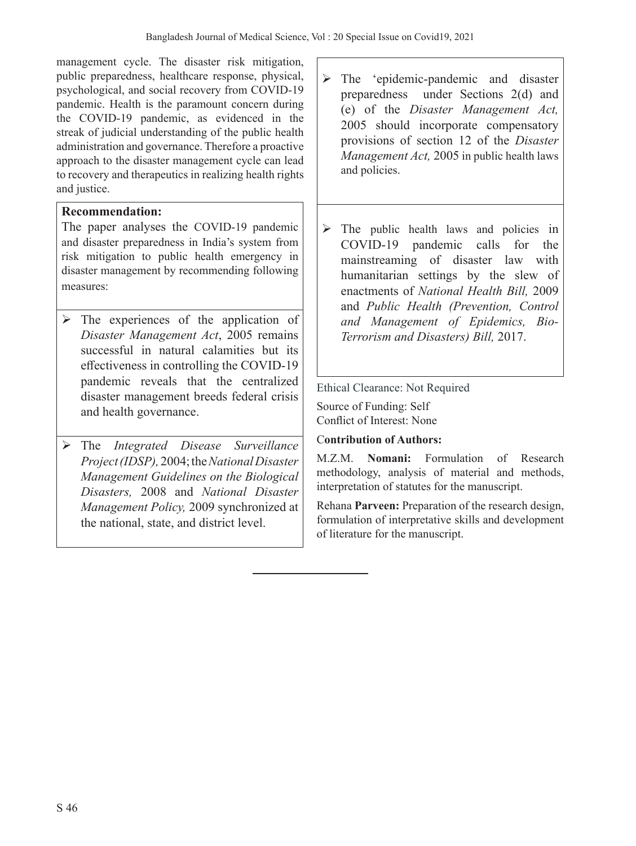management cycle. The disaster risk mitigation, public preparedness, healthcare response, physical, psychological, and social recovery from COVID-19 pandemic. Health is the paramount concern during the COVID-19 pandemic, as evidenced in the streak of judicial understanding of the public health administration and governance. Therefore a proactive approach to the disaster management cycle can lead to recovery and therapeutics in realizing health rights and justice.

# **Recommendation:**

The paper analyses the COVID-19 pandemic and disaster preparedness in India's system from risk mitigation to public health emergency in disaster management by recommending following measures:

- $\triangleright$  The experiences of the application of *Disaster Management Act*, 2005 remains successful in natural calamities but its effectiveness in controlling the COVID-19 pandemic reveals that the centralized disaster management breeds federal crisis and health governance.
- The *Integrated Disease Surveillance Project (IDSP),* 2004; the *National Disaster Management Guidelines on the Biological Disasters,* 2008 and *National Disaster Management Policy,* 2009 synchronized at the national, state, and district level.
- $\triangleright$  The 'epidemic-pandemic and disaster preparedness under Sections 2(d) and (e) of the *Disaster Management Act,*  2005 should incorporate compensatory provisions of section 12 of the *Disaster Management Act,* 2005 in public health laws and policies.
- $\triangleright$  The public health laws and policies in COVID-19 pandemic calls for the mainstreaming of disaster law with humanitarian settings by the slew of enactments of *National Health Bill,* 2009 and *Public Health (Prevention, Control and Management of Epidemics, Bio-Terrorism and Disasters) Bill,* 2017.

Ethical Clearance: Not Required

Source of Funding: Self Conflict of Interest: None

# C**ontribution of Authors:**

M.Z.M. **Nomani:** Formulation of Research methodology, analysis of material and methods, interpretation of statutes for the manuscript.

Rehana **Parveen:** Preparation of the research design, formulation of interpretative skills and development of literature for the manuscript.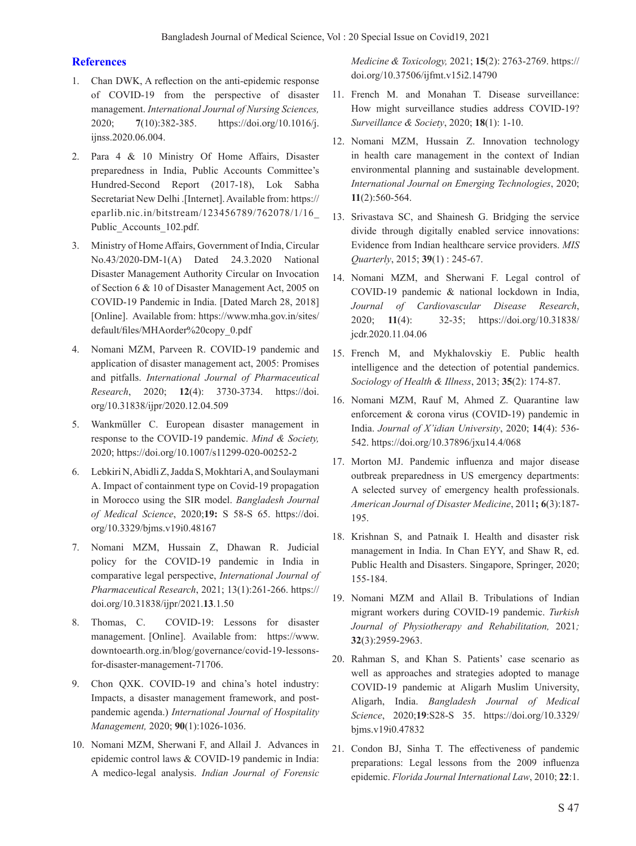#### **References**

- 1. Chan DWK, A reflection on the anti-epidemic response of COVID-19 from the perspective of disaster management. *International Journal of Nursing Sciences,* 2020; **7**(10):382-385. https://doi.org/10.1016/j. ijnss.2020.06.004.
- 2. Para 4 & 10 Ministry Of Home Affairs, Disaster preparedness in India, Public Accounts Committee's Hundred-Second Report (2017-18), Lok Sabha Secretariat New Delhi .[Internet]. Available from: https:// eparlib.nic.in/bitstream/123456789/762078/1/16\_ Public\_Accounts\_102.pdf.
- 3. Ministry of Home Affairs, Government of India, Circular No.43/2020-DM-1(A) Dated 24.3.2020 National Disaster Management Authority Circular on Invocation of Section 6 & 10 of Disaster Management Act, 2005 on COVID-19 Pandemic in India. [Dated March 28, 2018] [Online]. Available from: https://www.mha.gov.in/sites/ default/files/MHAorder%20copy\_0.pdf
- 4. Nomani MZM, Parveen R. COVID-19 pandemic and application of disaster management act, 2005: Promises and pitfalls. *International Journal of Pharmaceutical Research*, 2020; **12**(4): 3730-3734. https://doi. org/10.31838/ijpr/2020.12.04.509
- 5. Wankmüller C. European disaster management in response to the COVID-19 pandemic. *Mind & Society,* 2020; https://doi.org/10.1007/s11299-020-00252-2
- 6. Lebkiri N, Abidli Z, Jadda S, Mokhtari A, and Soulaymani A. Impact of containment type on Covid-19 propagation in Morocco using the SIR model. *Bangladesh Journal of Medical Science*, 2020;**19:** S 58-S 65. https://doi. org/10.3329/bjms.v19i0.48167
- 7. Nomani MZM, Hussain Z, Dhawan R. Judicial policy for the COVID-19 pandemic in India in comparative legal perspective, *International Journal of Pharmaceutical Research*, 2021; 13(1):261-266. https:// doi.org/10.31838/ijpr/2021.**13**.1.50
- 8. Thomas, C. COVID-19: Lessons for disaster management. [Online]. Available from: https://www. downtoearth.org.in/blog/governance/covid-19-lessonsfor-disaster-management-71706.
- 9. Chon QXK. COVID-19 and china's hotel industry: Impacts, a disaster management framework, and postpandemic agenda.) *International Journal of Hospitality Management,* 2020; **90**(1):1026-1036.
- 10. Nomani MZM, Sherwani F, and Allail J. Advances in epidemic control laws & COVID-19 pandemic in India: A medico-legal analysis. *Indian Journal of Forensic*

*Medicine & Toxicology,* 2021; **15**(2): 2763-2769. https:// doi.org/10.37506/ijfmt.v15i2.14790

- 11. French M. and Monahan T. Disease surveillance: How might surveillance studies address COVID-19? *Surveillance & Society*, 2020; **18**(1): 1-10.
- 12. Nomani MZM, Hussain Z. Innovation technology in health care management in the context of Indian environmental planning and sustainable development. *International Journal on Emerging Technologies*, 2020; **11**(2):560-564.
- 13. Srivastava SC, and Shainesh G. Bridging the service divide through digitally enabled service innovations: Evidence from Indian healthcare service providers. *MIS Quarterly*, 2015; **39**(1) : 245-67.
- 14. Nomani MZM, and Sherwani F. Legal control of COVID-19 pandemic & national lockdown in India, *Journal of Cardiovascular Disease Research*, 2020; **11**(4): 32-35; https://doi.org/10.31838/ jcdr.2020.11.04.06
- 15. French M, and Mykhalovskiy E. Public health intelligence and the detection of potential pandemics. *Sociology of Health & Illness*, 2013; **35**(2): 174-87.
- 16. Nomani MZM, Rauf M, Ahmed Z. Quarantine law enforcement & corona virus (COVID-19) pandemic in India. *Journal of X'idian University*, 2020; **14**(4): 536- 542. https://doi.org/10.37896/jxu14.4/068
- 17. Morton MJ. Pandemic influenza and major disease outbreak preparedness in US emergency departments: A selected survey of emergency health professionals. *American Journal of Disaster Medicine*, 2011**; 6**(3):187- 195.
- 18. Krishnan S, and Patnaik I. Health and disaster risk management in India. In Chan EYY, and Shaw R, ed. Public Health and Disasters. Singapore, Springer, 2020; 155-184.
- 19. Nomani MZM and Allail B. Tribulations of Indian migrant workers during COVID-19 pandemic. *Turkish Journal of Physiotherapy and Rehabilitation,* 2021*;* **32**(3):2959-2963.
- 20. Rahman S, and Khan S. Patients' case scenario as well as approaches and strategies adopted to manage COVID-19 pandemic at Aligarh Muslim University, Aligarh, India. *Bangladesh Journal of Medical Science*, 2020;**19**:S28-S 35. https://doi.org/10.3329/ bjms.v19i0.47832
- 21. Condon BJ, Sinha T. The effectiveness of pandemic preparations: Legal lessons from the 2009 influenza epidemic. *Florida Journal International Law*, 2010; **22**:1.